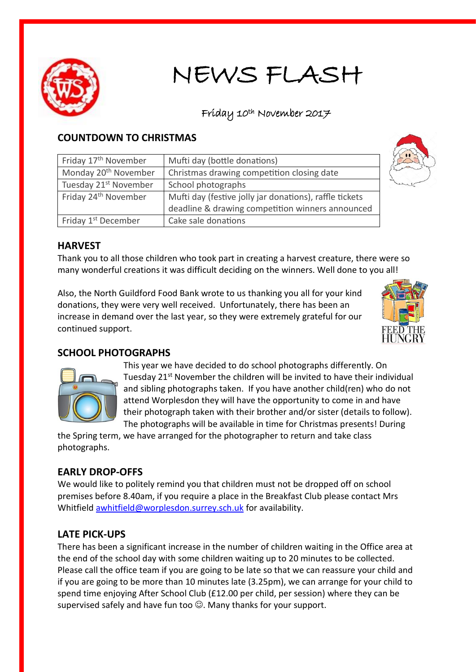

## NEWS FLASH

# Friday 10th November 2017

## **COUNTDOWN TO CHRISTMAS**

| Friday 17 <sup>th</sup> November  | Mufti day (bottle donations)                            |
|-----------------------------------|---------------------------------------------------------|
| Monday 20 <sup>th</sup> November  | Christmas drawing competition closing date              |
| Tuesday 21 <sup>st</sup> November | School photographs                                      |
| Friday 24 <sup>th</sup> November  | Mufti day (festive jolly jar donations), raffle tickets |
|                                   | deadline & drawing competition winners announced        |
| Friday 1 <sup>st</sup> December   | Cake sale donations                                     |



#### **HARVEST**

Thank you to all those children who took part in creating a harvest creature, there were so many wonderful creations it was difficult deciding on the winners. Well done to you all!

Also, the North Guildford Food Bank wrote to us thanking you all for your kind donations, they were very well received. Unfortunately, there has been an increase in demand over the last year, so they were extremely grateful for our continued support.



## **SCHOOL PHOTOGRAPHS**



This year we have decided to do school photographs differently. On Tuesday 21<sup>st</sup> November the children will be invited to have their individual and sibling photographs taken. If you have another child(ren) who do not attend Worplesdon they will have the opportunity to come in and have their photograph taken with their brother and/or sister (details to follow). The photographs will be available in time for Christmas presents! During

the Spring term, we have arranged for the photographer to return and take class photographs.

## **EARLY DROP-OFFS**

We would like to politely remind you that children must not be dropped off on school premises before 8.40am, if you require a place in the Breakfast Club please contact Mrs Whitfield **awhitfield@worplesdon.surrey.sch.uk** for availability.

## **LATE PICK-UPS**

There has been a significant increase in the number of children waiting in the Office area at the end of the school day with some children waiting up to 20 minutes to be collected. Please call the office team if you are going to be late so that we can reassure your child and if you are going to be more than 10 minutes late (3.25pm), we can arrange for your child to spend time enjoying After School Club (£12.00 per child, per session) where they can be supervised safely and have fun too  $\odot$ . Many thanks for your support.